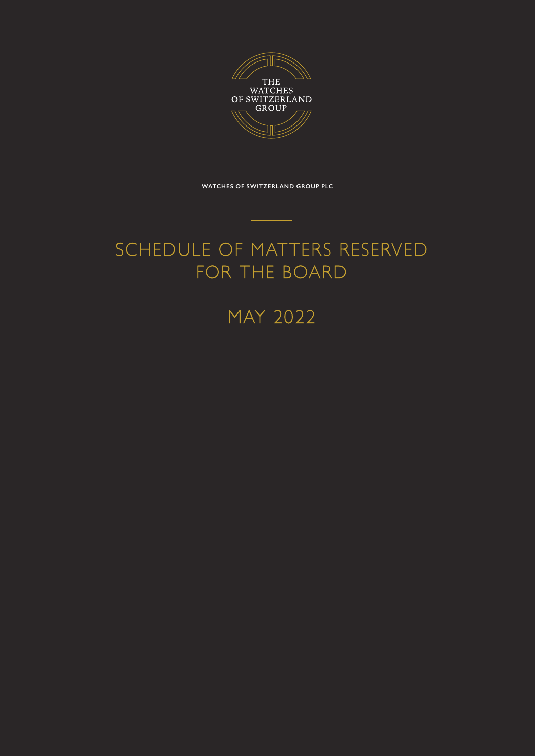

**WATCHES OF SWITZERLAND GROUP PLC**

# SCHEDULE OF MATTERS RESERVED FOR THE BOARD

MAY 2022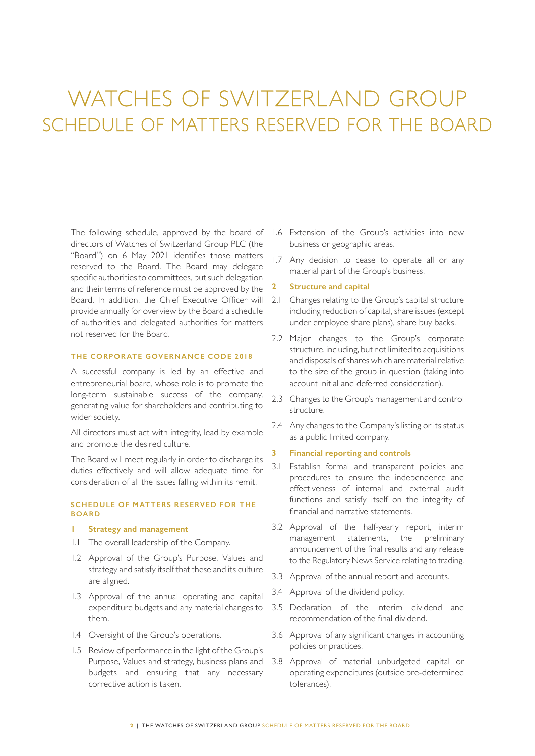# WATCHES OF SWITZERLAND GROUP SCHEDULE OF MATTERS RESERVED FOR THE BOARD

The following schedule, approved by the board of directors of Watches of Switzerland Group PLC (the "Board") on 6 May 2021 identifies those matters reserved to the Board. The Board may delegate specific authorities to committees, but such delegation and their terms of reference must be approved by the Board. In addition, the Chief Executive Officer will provide annually for overview by the Board a schedule of authorities and delegated authorities for matters not reserved for the Board.

#### **THE CORPOR ATE GOVERNANCE CODE 2018**

A successful company is led by an effective and entrepreneurial board, whose role is to promote the long-term sustainable success of the company, generating value for shareholders and contributing to wider society.

All directors must act with integrity, lead by example and promote the desired culture.

The Board will meet regularly in order to discharge its duties effectively and will allow adequate time for consideration of all the issues falling within its remit.

#### **SCHEDULE OF MATTERS RESERVED FOR THE BOARD**

#### **1 Strategy and management**

- 1.1 The overall leadership of the Company.
- 1.2 Approval of the Group's Purpose, Values and strategy and satisfy itself that these and its culture are aligned.
- 1.3 Approval of the annual operating and capital expenditure budgets and any material changes to them.
- 1.4 Oversight of the Group's operations.
- 1.5 Review of performance in the light of the Group's Purpose, Values and strategy, business plans and budgets and ensuring that any necessary corrective action is taken.
- 1.6 Extension of the Group's activities into new business or geographic areas.
- 1.7 Any decision to cease to operate all or any material part of the Group's business.
- **2 Structure and capital**
- 2.1 Changes relating to the Group's capital structure including reduction of capital, share issues (except under employee share plans), share buy backs.
- 2.2 Major changes to the Group's corporate structure, including, but not limited to acquisitions and disposals of shares which are material relative to the size of the group in question (taking into account initial and deferred consideration).
- 2.3 Changes to the Group's management and control structure.
- 2.4 Any changes to the Company's listing or its status as a public limited company.

#### **3 Financial reporting and controls**

- 3.1 Establish formal and transparent policies and procedures to ensure the independence and effectiveness of internal and external audit functions and satisfy itself on the integrity of financial and narrative statements.
- 3.2 Approval of the half-yearly report, interim management statements, the preliminary announcement of the final results and any release to the Regulatory News Service relating to trading.
- 3.3 Approval of the annual report and accounts.
- 3.4 Approval of the dividend policy.
- 3.5 Declaration of the interim dividend and recommendation of the final dividend.
- 3.6 Approval of any significant changes in accounting policies or practices.
- 3.8 Approval of material unbudgeted capital or operating expenditures (outside pre-determined tolerances).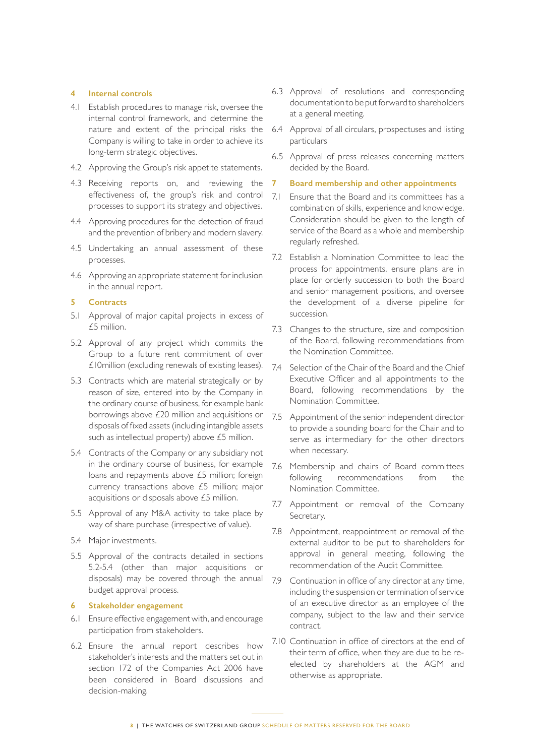## **4 Internal controls**

- 4.1 Establish procedures to manage risk, oversee the internal control framework, and determine the nature and extent of the principal risks the Company is willing to take in order to achieve its long-term strategic objectives.
- 4.2 Approving the Group's risk appetite statements.
- 4.3 Receiving reports on, and reviewing the effectiveness of, the group's risk and control processes to support its strategy and objectives.
- 4.4 Approving procedures for the detection of fraud and the prevention of bribery and modern slavery.
- 4.5 Undertaking an annual assessment of these processes.
- 4.6 Approving an appropriate statement for inclusion in the annual report.

#### **5 Contracts**

- 5.1 Approval of major capital projects in excess of £5 million.
- 5.2 Approval of any project which commits the Group to a future rent commitment of over £10million (excluding renewals of existing leases).
- 5.3 Contracts which are material strategically or by reason of size, entered into by the Company in the ordinary course of business, for example bank borrowings above £20 million and acquisitions or disposals of fixed assets (including intangible assets such as intellectual property) above £5 million.
- 5.4 Contracts of the Company or any subsidiary not in the ordinary course of business, for example loans and repayments above £5 million; foreign currency transactions above £5 million; major acquisitions or disposals above £5 million.
- 5.5 Approval of any M&A activity to take place by way of share purchase (irrespective of value).
- 5.4 Major investments.
- 5.5 Approval of the contracts detailed in sections 5.2-5.4 (other than major acquisitions or disposals) may be covered through the annual budget approval process.

#### **6 Stakeholder engagement**

- 6.1 Ensure effective engagement with, and encourage participation from stakeholders.
- 6.2 Ensure the annual report describes how stakeholder's interests and the matters set out in section 172 of the Companies Act 2006 have been considered in Board discussions and decision-making.
- 6.3 Approval of resolutions and corresponding documentation to be put forward to shareholders at a general meeting.
- 6.4 Approval of all circulars, prospectuses and listing particulars
- 6.5 Approval of press releases concerning matters decided by the Board.

### **7 Board membership and other appointments**

- 7.1 Ensure that the Board and its committees has a combination of skills, experience and knowledge. Consideration should be given to the length of service of the Board as a whole and membership regularly refreshed.
- 7.2 Establish a Nomination Committee to lead the process for appointments, ensure plans are in place for orderly succession to both the Board and senior management positions, and oversee the development of a diverse pipeline for succession.
- 7.3 Changes to the structure, size and composition of the Board, following recommendations from the Nomination Committee.
- 7.4 Selection of the Chair of the Board and the Chief Executive Officer and all appointments to the Board, following recommendations by the Nomination Committee.
- 7.5 Appointment of the senior independent director to provide a sounding board for the Chair and to serve as intermediary for the other directors when necessary.
- 7.6 Membership and chairs of Board committees following recommendations from the Nomination Committee.
- 7.7 Appointment or removal of the Company Secretary.
- 7.8 Appointment, reappointment or removal of the external auditor to be put to shareholders for approval in general meeting, following the recommendation of the Audit Committee.
- 7.9 Continuation in office of any director at any time, including the suspension or termination of service of an executive director as an employee of the company, subject to the law and their service contract.
- 7.10 Continuation in office of directors at the end of their term of office, when they are due to be reelected by shareholders at the AGM and otherwise as appropriate.